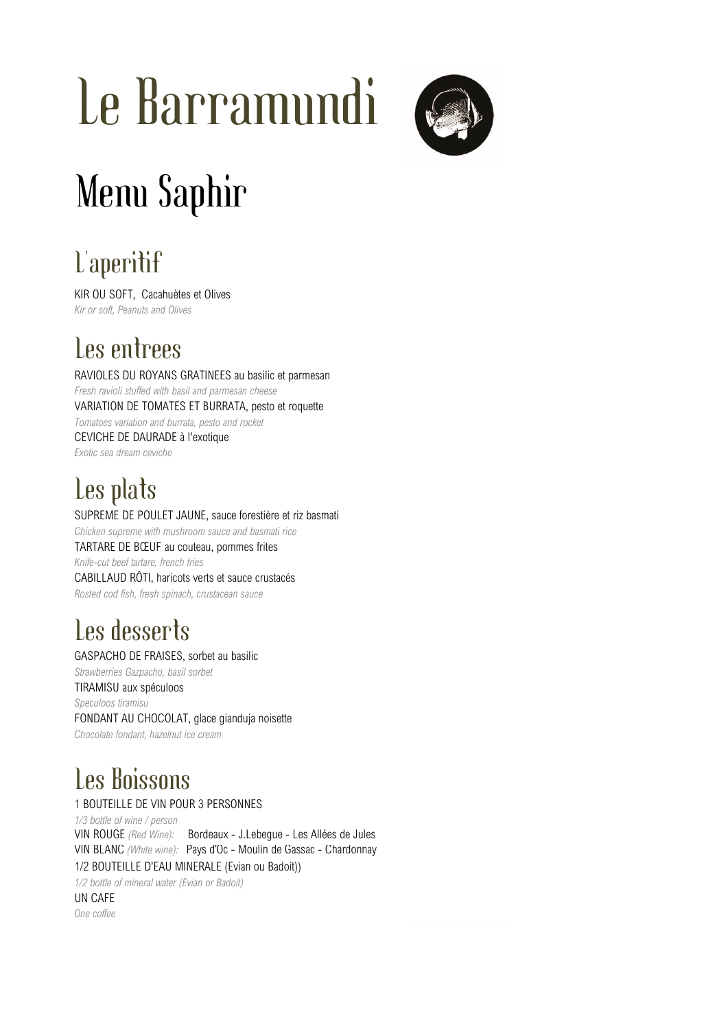# Le Barramundi



## Menu Saphir

## L'aperitif

KIR OU SOFT, Cacahuètes et Olives *Kir or soft, Peanuts and Olives*

### Les entrees

RAVIOLES DU ROYANS GRATINEES au basilic et parmesan *Fresh ravioli stuffed with basil and parmesan cheese* VARIATION DE TOMATES ET BURRATA, pesto et roquette *Tomatoes variation and burrata, pesto and rocket* CEVICHE DE DAURADE à l'exotique *Exotic sea dream ceviche*

## Les plats

SUPREME DE POULET JAUNE, sauce forestière et riz basmati *Chicken supreme with mushroom sauce and basmati rice* TARTARE DE BŒUF au couteau, pommes frites *Knife-cut beef tartare, french fries* CABILLAUD RÔTI, haricots verts et sauce crustacés *Rosted cod fish, fresh spinach, crustacean sauce*

## Les desserts

#### GASPACHO DE FRAISES, sorbet au basilic

*Strawberries Gazpacho, basil sorbet* TIRAMISU aux spéculoos *Speculoos tiramisu* FONDANT AU CHOCOLAT, glace gianduja noisette *Chocolate fondant, hazelnut ice cream*

## Les Boissons

#### 1 BOUTEILLE DE VIN POUR 3 PERSONNES

*1/3 bottle of wine / person* VIN ROUGE *(Red Wine):* Bordeaux - J.Lebegue - Les Allées de Jules VIN BLANC *(White wine):* Pays d'Oc - Moulin de Gassac - Chardonnay 1/2 BOUTEILLE D'EAU MINERALE (Evian ou Badoit))

*1/2 bottle of mineral water (Evian or Badoit)* UN CAFE *One coffee*